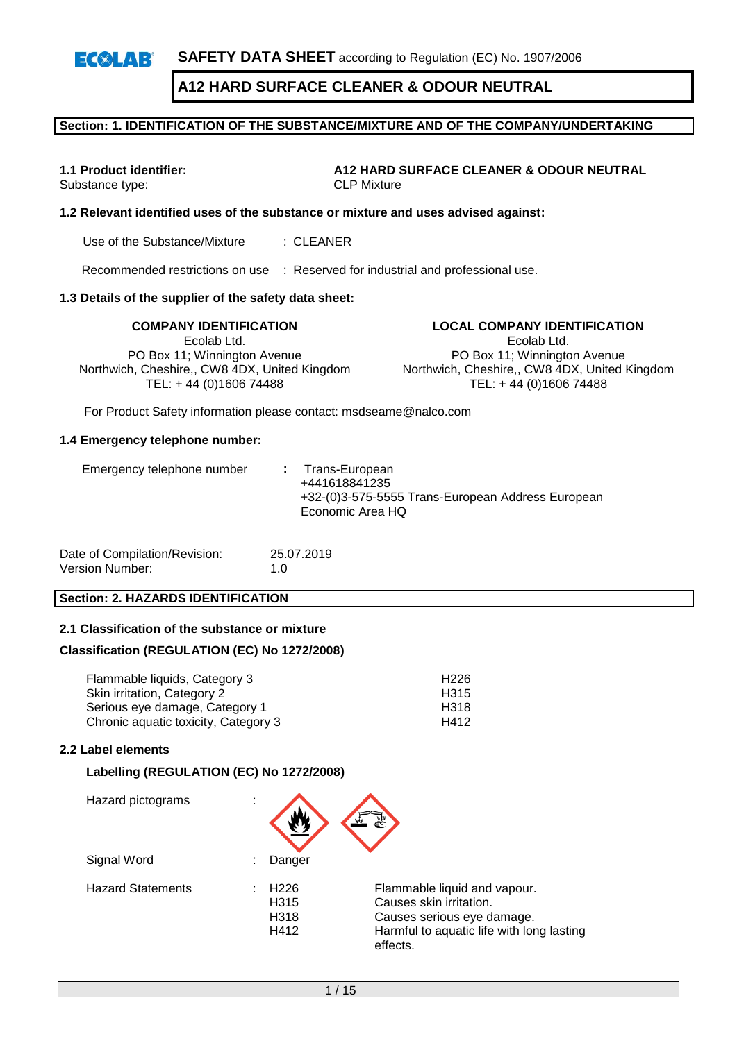**SAFETY DATA SHEET** according to Regulation (EC) No. 1907/2006  $E(X|A)$ 

# **A12 HARD SURFACE CLEANER & ODOUR NEUTRAL**

### **Section: 1. IDENTIFICATION OF THE SUBSTANCE/MIXTURE AND OF THE COMPANY/UNDERTAKING**

**1.1 Product identifier: A12 HARD SURFACE CLEANER & ODOUR NEUTRAL** Substance type: CLP Mixture

## **1.2 Relevant identified uses of the substance or mixture and uses advised against:**

Use of the Substance/Mixture : CLEANER

Recommended restrictions on use : Reserved for industrial and professional use.

#### **1.3 Details of the supplier of the safety data sheet:**

Ecolab Ltd. PO Box 11; Winnington Avenue Northwich, Cheshire,, CW8 4DX, United Kingdom TEL: + 44 (0)1606 74488

**COMPANY IDENTIFICATION LOCAL COMPANY IDENTIFICATION** Ecolab Ltd. PO Box 11; Winnington Avenue Northwich, Cheshire,, CW8 4DX, United Kingdom TEL: + 44 (0)1606 74488

For Product Safety information please contact: msdseame@nalco.com

#### **1.4 Emergency telephone number:**

| Date of Compilation/Revision: | 25.07.2019  |
|-------------------------------|-------------|
| Version Number:               | 1. $\Omega$ |

#### **Section: 2. HAZARDS IDENTIFICATION**

#### **2.1 Classification of the substance or mixture**

#### **Classification (REGULATION (EC) No 1272/2008)**

| Flammable liquids, Category 3        | H <sub>226</sub> |
|--------------------------------------|------------------|
| Skin irritation, Category 2          | H315             |
| Serious eye damage, Category 1       | H318             |
| Chronic aquatic toxicity, Category 3 | H412             |

## **2.2 Label elements**

#### **Labelling (REGULATION (EC) No 1272/2008)**

| Hazard pictograms        | ٠<br>٠                                   |                                                                                                                                                |
|--------------------------|------------------------------------------|------------------------------------------------------------------------------------------------------------------------------------------------|
| Signal Word              | Danger                                   |                                                                                                                                                |
| <b>Hazard Statements</b> | H <sub>226</sub><br>H315<br>H318<br>H412 | Flammable liquid and vapour.<br>Causes skin irritation.<br>Causes serious eye damage.<br>Harmful to aquatic life with long lasting<br>effects. |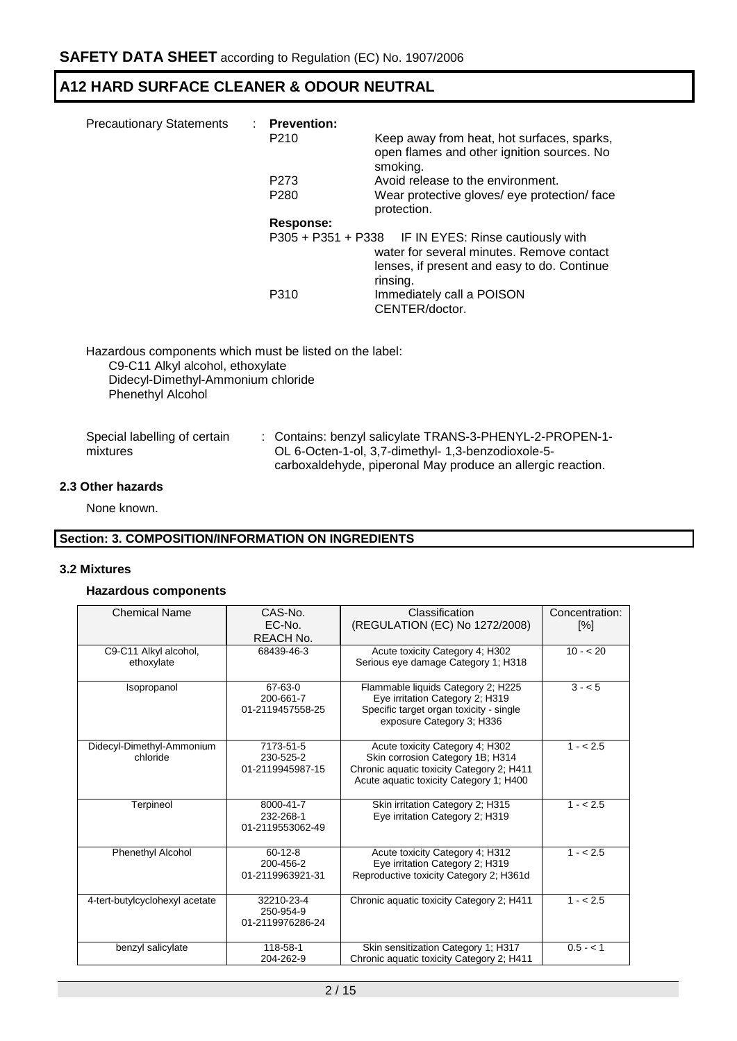| <b>Precautionary Statements</b> | : Prevention:<br>P <sub>210</sub> | Keep away from heat, hot surfaces, sparks,                                                                                                                   |
|---------------------------------|-----------------------------------|--------------------------------------------------------------------------------------------------------------------------------------------------------------|
|                                 |                                   | open flames and other ignition sources. No<br>smoking.                                                                                                       |
|                                 | P <sub>273</sub>                  | Avoid release to the environment.                                                                                                                            |
|                                 | P <sub>280</sub>                  | Wear protective gloves/ eye protection/ face<br>protection.                                                                                                  |
|                                 | Response:                         |                                                                                                                                                              |
|                                 |                                   | P305 + P351 + P338 IF IN EYES: Rinse cautiously with<br>water for several minutes. Remove contact<br>lenses, if present and easy to do. Continue<br>rinsing. |
|                                 | P310                              | Immediately call a POISON<br>CENTER/doctor.                                                                                                                  |

Hazardous components which must be listed on the label: C9-C11 Alkyl alcohol, ethoxylate Didecyl-Dimethyl-Ammonium chloride Phenethyl Alcohol

| Special labelling of certain | : Contains: benzyl salicylate TRANS-3-PHENYL-2-PROPEN-1-    |
|------------------------------|-------------------------------------------------------------|
| mixtures                     | OL 6-Octen-1-ol, 3,7-dimethyl- 1,3-benzodioxole-5-          |
|                              | carboxaldehyde, piperonal May produce an allergic reaction. |

## **2.3 Other hazards**

None known.

## **Section: 3. COMPOSITION/INFORMATION ON INGREDIENTS**

#### **3.2 Mixtures**

#### **Hazardous components**

| <b>Chemical Name</b>           | $CAS-N0$ .                    | Classification                                                       | Concentration:        |
|--------------------------------|-------------------------------|----------------------------------------------------------------------|-----------------------|
|                                | EC-No.                        | (REGULATION (EC) No 1272/2008)                                       | $\lceil\% \rceil$     |
|                                | REACH No.                     |                                                                      |                       |
| C9-C11 Alkyl alcohol,          | 68439-46-3                    | Acute toxicity Category 4; H302                                      | $10 - 20$             |
| ethoxylate                     |                               | Serious eye damage Category 1; H318                                  |                       |
| Isopropanol                    | 67-63-0                       | Flammable liquids Category 2; H225                                   | $3 - 5$               |
|                                | 200-661-7<br>01-2119457558-25 | Eye irritation Category 2; H319                                      |                       |
|                                |                               | Specific target organ toxicity - single<br>exposure Category 3; H336 |                       |
| Didecyl-Dimethyl-Ammonium      | 7173-51-5                     | Acute toxicity Category 4; H302                                      | $1 - 2.5$             |
| chloride                       | 230-525-2                     | Skin corrosion Category 1B; H314                                     |                       |
|                                | 01-2119945987-15              | Chronic aquatic toxicity Category 2; H411                            |                       |
|                                |                               | Acute aquatic toxicity Category 1; H400                              |                       |
| Terpineol                      | 8000-41-7                     | Skin irritation Category 2; H315                                     | $\frac{1}{1}$ - < 2.5 |
|                                | 232-268-1                     | Eye irritation Category 2; H319                                      |                       |
|                                | 01-2119553062-49              |                                                                      |                       |
| Phenethyl Alcohol              | $60 - 12 - 8$                 | Acute toxicity Category 4; H312                                      | $1 - 2.5$             |
|                                | 200-456-2                     | Eye irritation Category 2; H319                                      |                       |
|                                | 01-2119963921-31              | Reproductive toxicity Category 2; H361d                              |                       |
| 4-tert-butylcyclohexyl acetate | 32210-23-4                    | Chronic aquatic toxicity Category 2; H411                            | $1 - 2.5$             |
|                                | 250-954-9                     |                                                                      |                       |
|                                | 01-2119976286-24              |                                                                      |                       |
| benzyl salicylate              | 118-58-1                      | Skin sensitization Category 1; H317                                  | $0.5 - < 1$           |
|                                | 204-262-9                     | Chronic aquatic toxicity Category 2; H411                            |                       |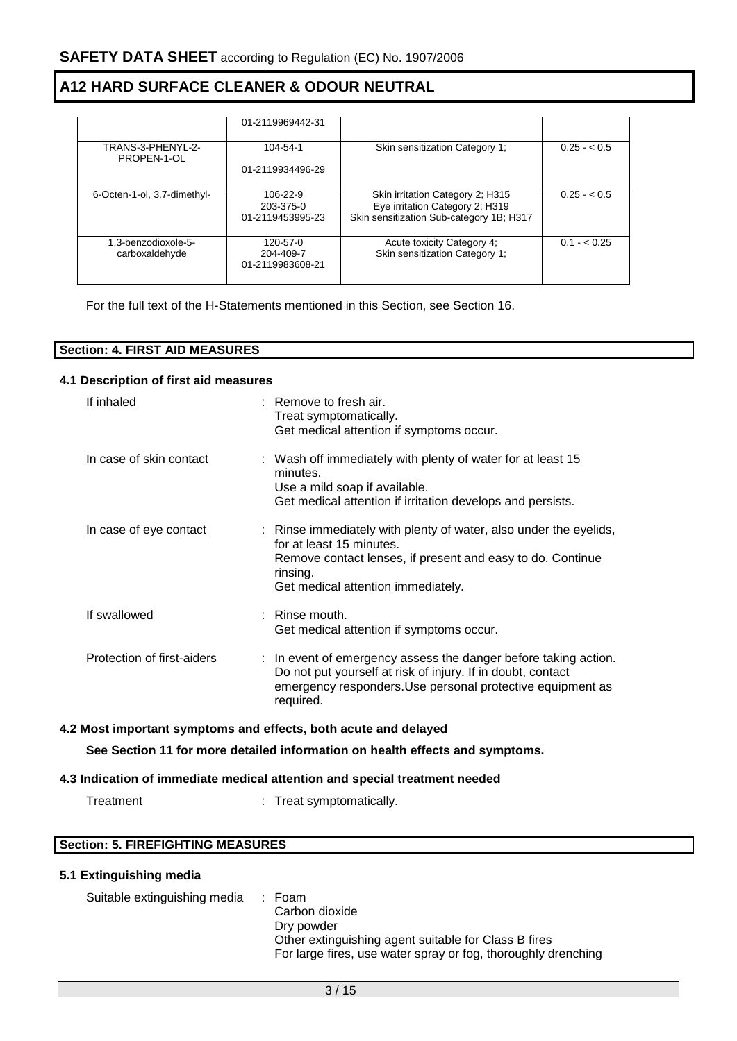|                                       | 01-2119969442-31                          |                                                                                                                 |              |
|---------------------------------------|-------------------------------------------|-----------------------------------------------------------------------------------------------------------------|--------------|
| TRANS-3-PHENYL-2-<br>PROPEN-1-OL      | 104-54-1<br>01-2119934496-29              | Skin sensitization Category 1:                                                                                  | $0.25 - 0.5$ |
| 6-Octen-1-ol, 3,7-dimethyl-           | 106-22-9<br>203-375-0<br>01-2119453995-23 | Skin irritation Category 2; H315<br>Eye irritation Category 2; H319<br>Skin sensitization Sub-category 1B; H317 | $0.25 - 0.5$ |
| 1.3-benzodioxole-5-<br>carboxaldehyde | 120-57-0<br>204-409-7<br>01-2119983608-21 | Acute toxicity Category 4;<br>Skin sensitization Category 1;                                                    | $0.1 - 0.25$ |

For the full text of the H-Statements mentioned in this Section, see Section 16.

| <b>Section: 4. FIRST AID MEASURES</b> |  |
|---------------------------------------|--|

#### **4.1 Description of first aid measures**

| If inhaled                 | $\therefore$ Remove to fresh air.<br>Treat symptomatically.<br>Get medical attention if symptoms occur.                                                                                                       |
|----------------------------|---------------------------------------------------------------------------------------------------------------------------------------------------------------------------------------------------------------|
| In case of skin contact    | : Wash off immediately with plenty of water for at least 15<br>minutes.<br>Use a mild soap if available.<br>Get medical attention if irritation develops and persists.                                        |
| In case of eye contact     | : Rinse immediately with plenty of water, also under the eyelids,<br>for at least 15 minutes.<br>Remove contact lenses, if present and easy to do. Continue<br>rinsing.<br>Get medical attention immediately. |
| If swallowed               | $:$ Rinse mouth.<br>Get medical attention if symptoms occur.                                                                                                                                                  |
| Protection of first-aiders | : In event of emergency assess the danger before taking action.<br>Do not put yourself at risk of injury. If in doubt, contact<br>emergency responders. Use personal protective equipment as<br>required.     |

# **4.2 Most important symptoms and effects, both acute and delayed**

**See Section 11 for more detailed information on health effects and symptoms.**

## **4.3 Indication of immediate medical attention and special treatment needed**

Treatment : Treat symptomatically.

## **Section: 5. FIREFIGHTING MEASURES**

## **5.1 Extinguishing media**

| Suitable extinguishing media | : Foam<br>Carbon dioxide                                           |
|------------------------------|--------------------------------------------------------------------|
|                              | Dry powder<br>Other extinguishing agent suitable for Class B fires |
|                              | For large fires, use water spray or fog, thoroughly drenching      |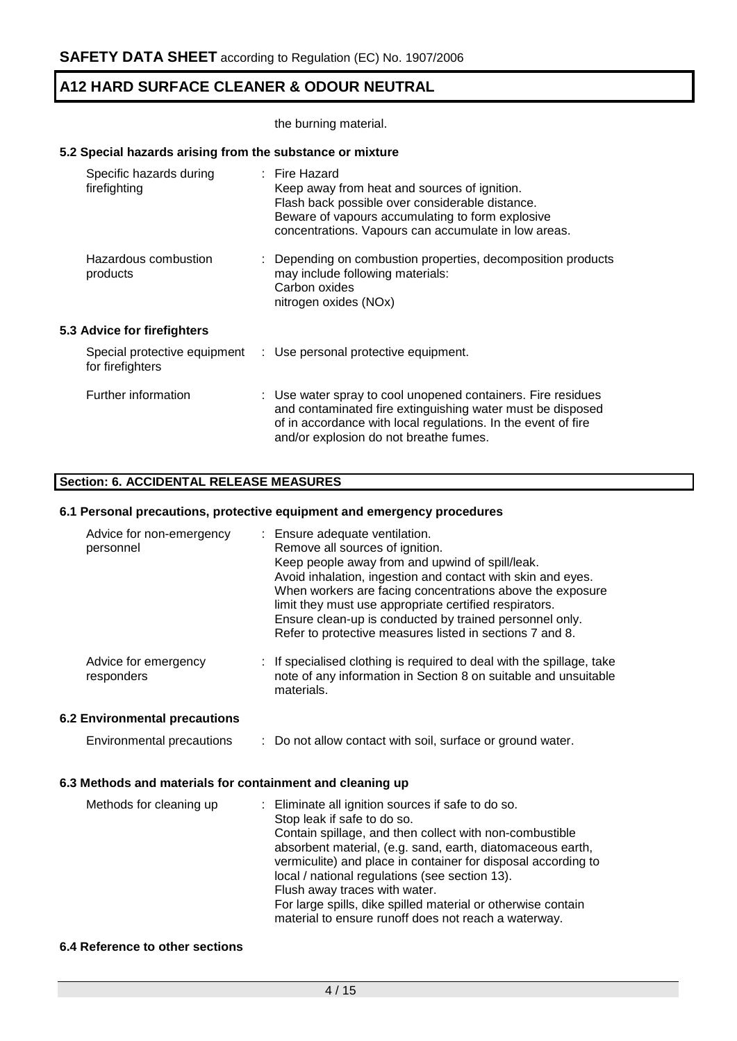the burning material.

## **5.2 Special hazards arising from the substance or mixture**

| Specific hazards during<br>firefighting          | $:$ Fire Hazard<br>Keep away from heat and sources of ignition.<br>Flash back possible over considerable distance.<br>Beware of vapours accumulating to form explosive<br>concentrations. Vapours can accumulate in low areas.        |
|--------------------------------------------------|---------------------------------------------------------------------------------------------------------------------------------------------------------------------------------------------------------------------------------------|
| Hazardous combustion<br>products                 | : Depending on combustion properties, decomposition products<br>may include following materials:<br>Carbon oxides<br>nitrogen oxides (NOx)                                                                                            |
| 5.3 Advice for firefighters                      |                                                                                                                                                                                                                                       |
| Special protective equipment<br>for firefighters | : Use personal protective equipment.                                                                                                                                                                                                  |
| Further information                              | : Use water spray to cool unopened containers. Fire residues<br>and contaminated fire extinguishing water must be disposed<br>of in accordance with local regulations. In the event of fire<br>and/or explosion do not breathe fumes. |

## **Section: 6. ACCIDENTAL RELEASE MEASURES**

#### **6.1 Personal precautions, protective equipment and emergency procedures**

| Advice for non-emergency<br>personnel                     | Ensure adequate ventilation.<br>Remove all sources of ignition.<br>Keep people away from and upwind of spill/leak.<br>Avoid inhalation, ingestion and contact with skin and eyes.<br>When workers are facing concentrations above the exposure<br>limit they must use appropriate certified respirators.<br>Ensure clean-up is conducted by trained personnel only.<br>Refer to protective measures listed in sections 7 and 8.                                                      |
|-----------------------------------------------------------|--------------------------------------------------------------------------------------------------------------------------------------------------------------------------------------------------------------------------------------------------------------------------------------------------------------------------------------------------------------------------------------------------------------------------------------------------------------------------------------|
| Advice for emergency<br>responders                        | : If specialised clothing is required to deal with the spillage, take<br>note of any information in Section 8 on suitable and unsuitable<br>materials.                                                                                                                                                                                                                                                                                                                               |
| 6.2 Environmental precautions                             |                                                                                                                                                                                                                                                                                                                                                                                                                                                                                      |
| Environmental precautions                                 | : Do not allow contact with soil, surface or ground water.                                                                                                                                                                                                                                                                                                                                                                                                                           |
| 6.3 Methods and materials for containment and cleaning up |                                                                                                                                                                                                                                                                                                                                                                                                                                                                                      |
| Methods for cleaning up                                   | Eliminate all ignition sources if safe to do so.<br>Stop leak if safe to do so.<br>Contain spillage, and then collect with non-combustible<br>absorbent material, (e.g. sand, earth, diatomaceous earth,<br>vermiculite) and place in container for disposal according to<br>local / national regulations (see section 13).<br>Flush away traces with water.<br>For large spills, dike spilled material or otherwise contain<br>material to ensure runoff does not reach a waterway. |

### **6.4 Reference to other sections**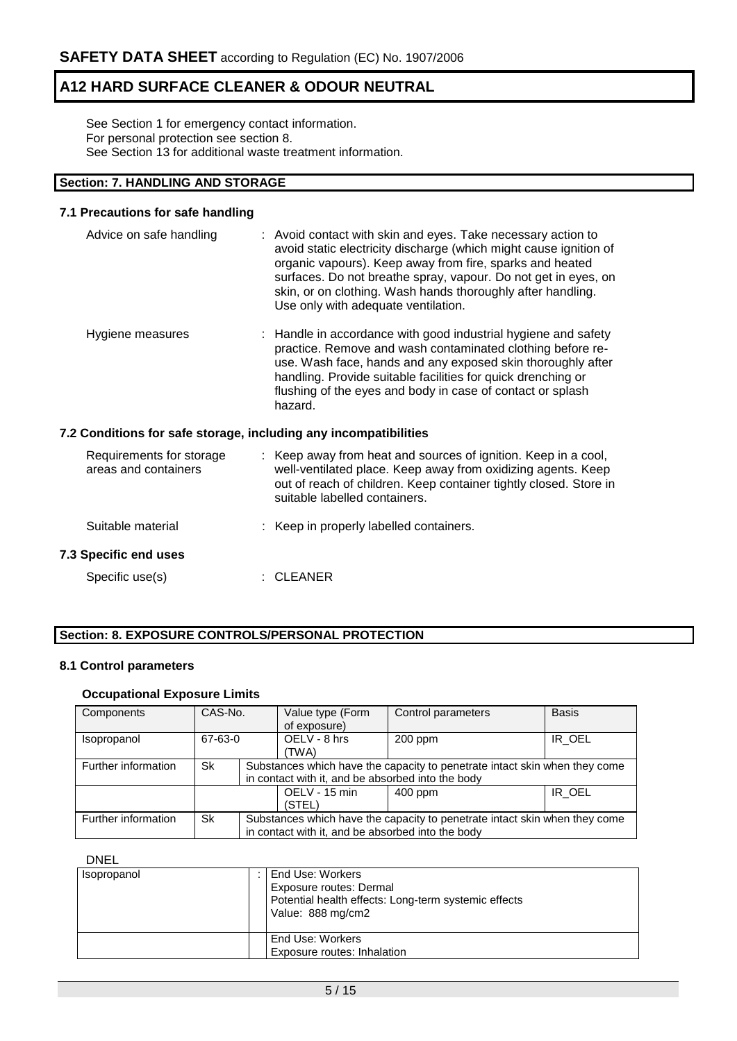See Section 1 for emergency contact information. For personal protection see section 8. See Section 13 for additional waste treatment information.

## **Section: 7. HANDLING AND STORAGE**

#### **7.1 Precautions for safe handling**

| Advice on safe handling                          | : Avoid contact with skin and eyes. Take necessary action to<br>avoid static electricity discharge (which might cause ignition of<br>organic vapours). Keep away from fire, sparks and heated<br>surfaces. Do not breathe spray, vapour. Do not get in eyes, on<br>skin, or on clothing. Wash hands thoroughly after handling.<br>Use only with adequate ventilation. |
|--------------------------------------------------|-----------------------------------------------------------------------------------------------------------------------------------------------------------------------------------------------------------------------------------------------------------------------------------------------------------------------------------------------------------------------|
| Hygiene measures                                 | : Handle in accordance with good industrial hygiene and safety<br>practice. Remove and wash contaminated clothing before re-<br>use. Wash face, hands and any exposed skin thoroughly after<br>handling. Provide suitable facilities for quick drenching or<br>flushing of the eyes and body in case of contact or splash<br>hazard.                                  |
|                                                  | 7.2 Conditions for safe storage, including any incompatibilities                                                                                                                                                                                                                                                                                                      |
| Requirements for storage<br>areas and containers | : Keep away from heat and sources of ignition. Keep in a cool,<br>well-ventilated place. Keep away from oxidizing agents. Keep<br>out of reach of children. Keep container tightly closed. Store in<br>suitable labelled containers.                                                                                                                                  |

- Suitable material : Keep in properly labelled containers. **7.3 Specific end uses**
	- Specific use(s) : CLEANER

## **Section: 8. EXPOSURE CONTROLS/PERSONAL PROTECTION**

#### **8.1 Control parameters**

### **Occupational Exposure Limits**

| Components          | CAS-No. |  | Value type (Form<br>of exposure)                                                                                                | Control parameters | <b>Basis</b> |  |  |
|---------------------|---------|--|---------------------------------------------------------------------------------------------------------------------------------|--------------------|--------------|--|--|
| Isopropanol         | 67-63-0 |  | OELV - 8 hrs<br>(TWA)                                                                                                           | $200$ ppm          | IR OEL       |  |  |
| Further information | Sk      |  | Substances which have the capacity to penetrate intact skin when they come<br>in contact with it, and be absorbed into the body |                    |              |  |  |
|                     |         |  | OELV - 15 min<br>(STEL)                                                                                                         | $400$ ppm          | IR OEL       |  |  |
| Further information | Sk      |  | Substances which have the capacity to penetrate intact skin when they come<br>in contact with it, and be absorbed into the body |                    |              |  |  |

#### DNEL

| Isopropanol | End Use: Workers<br>Exposure routes: Dermal<br>Potential health effects: Long-term systemic effects<br>Value: 888 mg/cm2 |
|-------------|--------------------------------------------------------------------------------------------------------------------------|
|             | End Use: Workers<br>Exposure routes: Inhalation                                                                          |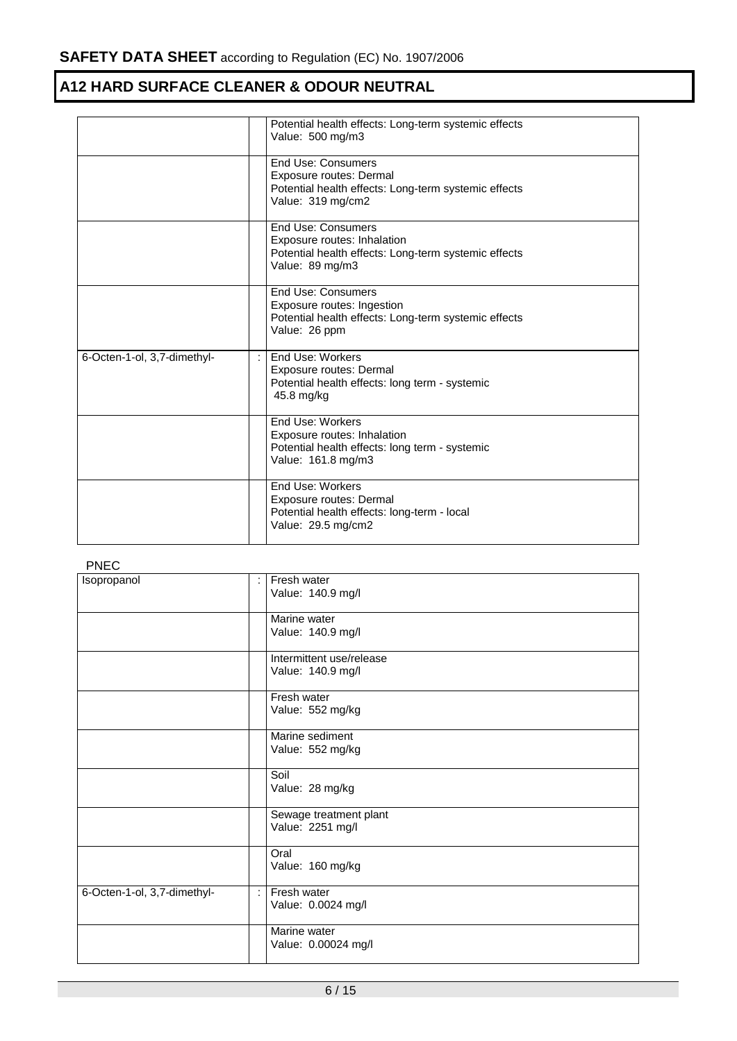|                             |                      | Potential health effects: Long-term systemic effects<br>Value: 500 mg/m3                                                     |
|-----------------------------|----------------------|------------------------------------------------------------------------------------------------------------------------------|
|                             |                      | End Use: Consumers<br>Exposure routes: Dermal<br>Potential health effects: Long-term systemic effects<br>Value: 319 mg/cm2   |
|                             |                      | End Use: Consumers<br>Exposure routes: Inhalation<br>Potential health effects: Long-term systemic effects<br>Value: 89 mg/m3 |
|                             |                      | End Use: Consumers<br>Exposure routes: Ingestion<br>Potential health effects: Long-term systemic effects<br>Value: 26 ppm    |
| 6-Octen-1-ol, 3,7-dimethyl- | $\ddot{\phantom{a}}$ | End Use: Workers<br>Exposure routes: Dermal<br>Potential health effects: long term - systemic<br>45.8 mg/kg                  |
|                             |                      | End Use: Workers<br>Exposure routes: Inhalation<br>Potential health effects: long term - systemic<br>Value: 161.8 mg/m3      |
|                             |                      | End Use: Workers<br>Exposure routes: Dermal<br>Potential health effects: long-term - local<br>Value: 29.5 mg/cm2             |

## PNEC

| .<br>Isopropanol            | Fresh water<br>Value: 140.9 mg/l              |
|-----------------------------|-----------------------------------------------|
|                             | Marine water<br>Value: 140.9 mg/l             |
|                             | Intermittent use/release<br>Value: 140.9 mg/l |
|                             | Fresh water<br>Value: 552 mg/kg               |
|                             | Marine sediment<br>Value: 552 mg/kg           |
|                             | Soil<br>Value: 28 mg/kg                       |
|                             | Sewage treatment plant<br>Value: 2251 mg/l    |
|                             | Oral<br>Value: 160 mg/kg                      |
| 6-Octen-1-ol, 3,7-dimethyl- | Fresh water<br>÷<br>Value: 0.0024 mg/l        |
|                             | Marine water<br>Value: 0.00024 mg/l           |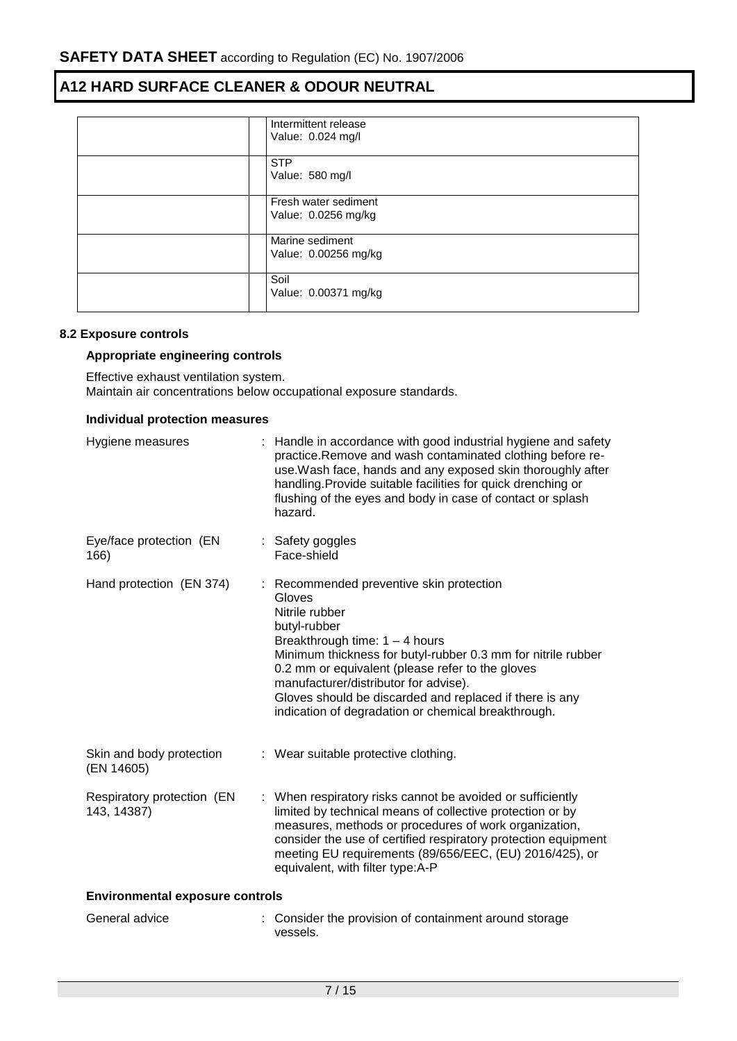| Intermittent release<br>Value: 0.024 mg/l   |
|---------------------------------------------|
| <b>STP</b><br>Value: 580 mg/l               |
| Fresh water sediment<br>Value: 0.0256 mg/kg |
| Marine sediment<br>Value: 0.00256 mg/kg     |
| Soil<br>Value: 0.00371 mg/kg                |

#### **8.2 Exposure controls**

## **Appropriate engineering controls**

Effective exhaust ventilation system. Maintain air concentrations below occupational exposure standards.

#### **Individual protection measures**

| Hygiene measures                          | : Handle in accordance with good industrial hygiene and safety<br>practice.Remove and wash contaminated clothing before re-<br>use. Wash face, hands and any exposed skin thoroughly after<br>handling. Provide suitable facilities for quick drenching or<br>flushing of the eyes and body in case of contact or splash<br>hazard.                                                                     |
|-------------------------------------------|---------------------------------------------------------------------------------------------------------------------------------------------------------------------------------------------------------------------------------------------------------------------------------------------------------------------------------------------------------------------------------------------------------|
| Eye/face protection (EN<br>166)           | : Safety goggles<br>Face-shield                                                                                                                                                                                                                                                                                                                                                                         |
| Hand protection (EN 374)                  | : Recommended preventive skin protection<br>Gloves<br>Nitrile rubber<br>butyl-rubber<br>Breakthrough time: $1 - 4$ hours<br>Minimum thickness for butyl-rubber 0.3 mm for nitrile rubber<br>0.2 mm or equivalent (please refer to the gloves<br>manufacturer/distributor for advise).<br>Gloves should be discarded and replaced if there is any<br>indication of degradation or chemical breakthrough. |
| Skin and body protection<br>(EN 14605)    | : Wear suitable protective clothing.                                                                                                                                                                                                                                                                                                                                                                    |
| Respiratory protection (EN<br>143, 14387) | : When respiratory risks cannot be avoided or sufficiently<br>limited by technical means of collective protection or by<br>measures, methods or procedures of work organization,<br>consider the use of certified respiratory protection equipment<br>meeting EU requirements (89/656/EEC, (EU) 2016/425), or<br>equivalent, with filter type:A-P                                                       |
| <b>Environmental exposure controls</b>    |                                                                                                                                                                                                                                                                                                                                                                                                         |
| General advice                            | : Consider the provision of containment around storage<br>vessels.                                                                                                                                                                                                                                                                                                                                      |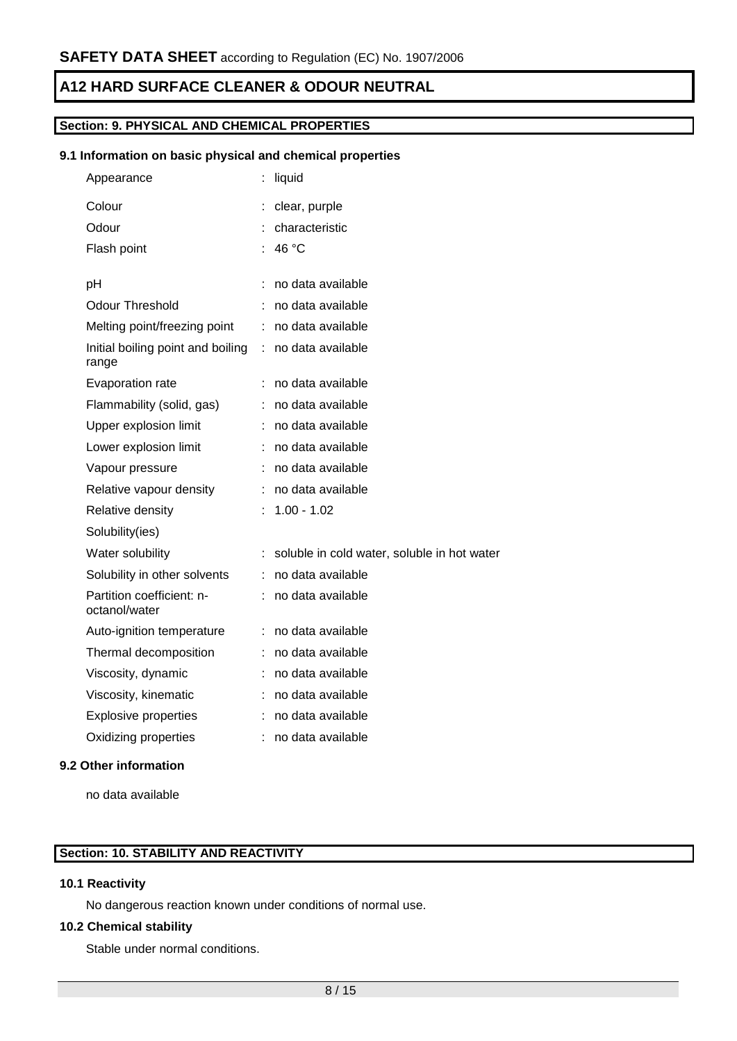## **Section: 9. PHYSICAL AND CHEMICAL PROPERTIES**

### **9.1 Information on basic physical and chemical properties**

| Appearance                                 |    | liquid                                      |
|--------------------------------------------|----|---------------------------------------------|
| Colour                                     |    | clear, purple                               |
| Odour                                      |    | characteristic                              |
| Flash point                                |    | 46 °C                                       |
|                                            |    |                                             |
| рH                                         |    | no data available                           |
| Odour Threshold                            |    | no data available                           |
| Melting point/freezing point               | ÷. | no data available                           |
| Initial boiling point and boiling<br>range | ÷. | no data available                           |
| Evaporation rate                           |    | no data available                           |
| Flammability (solid, gas)                  |    | no data available                           |
| Upper explosion limit                      |    | no data available                           |
| Lower explosion limit                      |    | no data available                           |
| Vapour pressure                            |    | no data available                           |
| Relative vapour density                    |    | no data available                           |
| Relative density                           |    | $1.00 - 1.02$                               |
| Solubility(ies)                            |    |                                             |
| Water solubility                           |    | soluble in cold water, soluble in hot water |
| Solubility in other solvents               | ÷. | no data available                           |
| Partition coefficient: n-<br>octanol/water |    | no data available                           |
| Auto-ignition temperature                  | ÷. | no data available                           |
| Thermal decomposition                      |    | no data available                           |
| Viscosity, dynamic                         |    | no data available                           |
| Viscosity, kinematic                       |    | no data available                           |
| <b>Explosive properties</b>                |    | no data available                           |
| Oxidizing properties                       | t. | no data available                           |

## **9.2 Other information**

no data available

## **Section: 10. STABILITY AND REACTIVITY**

### **10.1 Reactivity**

No dangerous reaction known under conditions of normal use.

#### **10.2 Chemical stability**

Stable under normal conditions.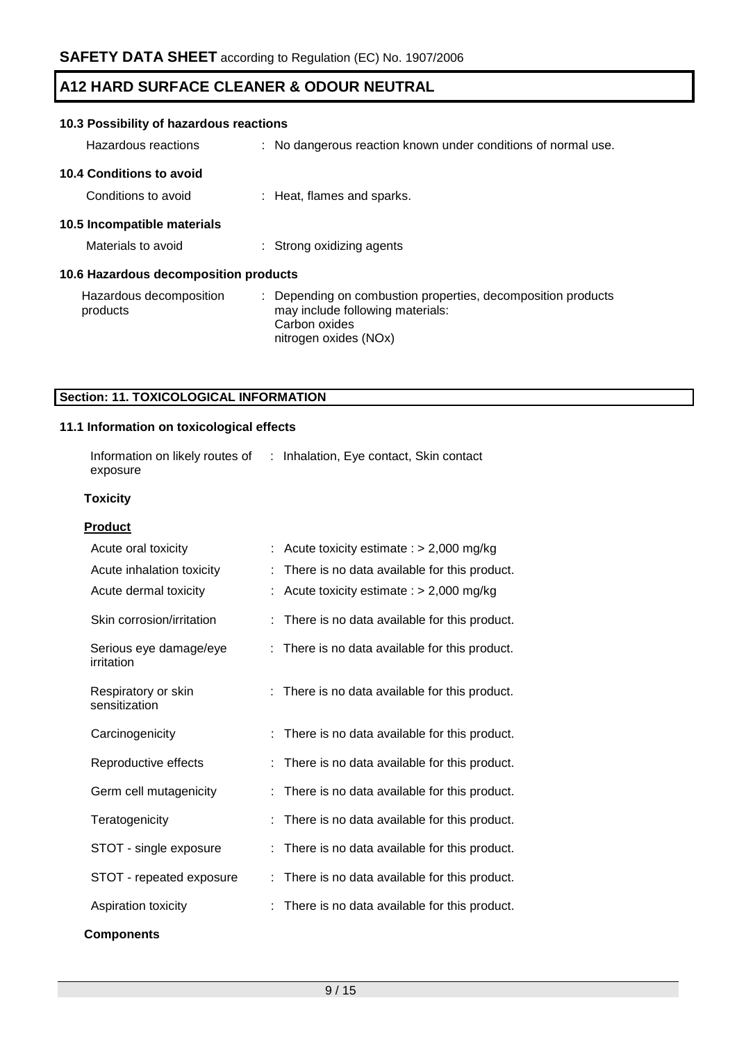| 10.3 Possibility of hazardous reactions |  |                                                                                                                                            |  |  |
|-----------------------------------------|--|--------------------------------------------------------------------------------------------------------------------------------------------|--|--|
| Hazardous reactions                     |  | : No dangerous reaction known under conditions of normal use.                                                                              |  |  |
| 10.4 Conditions to avoid                |  |                                                                                                                                            |  |  |
| Conditions to avoid                     |  | : Heat, flames and sparks.                                                                                                                 |  |  |
| 10.5 Incompatible materials             |  |                                                                                                                                            |  |  |
| Materials to avoid                      |  | : Strong oxidizing agents                                                                                                                  |  |  |
| 10.6 Hazardous decomposition products   |  |                                                                                                                                            |  |  |
| Hazardous decomposition<br>products     |  | : Depending on combustion properties, decomposition products<br>may include following materials:<br>Carbon oxides<br>nitrogen oxides (NOx) |  |  |

## **Section: 11. TOXICOLOGICAL INFORMATION**

## **11.1 Information on toxicological effects**

| Information on likely routes of<br>exposure |   | : Inhalation, Eye contact, Skin contact      |
|---------------------------------------------|---|----------------------------------------------|
| <b>Toxicity</b>                             |   |                                              |
| <b>Product</b>                              |   |                                              |
| Acute oral toxicity                         |   | Acute toxicity estimate : $> 2,000$ mg/kg    |
| Acute inhalation toxicity                   |   | There is no data available for this product. |
| Acute dermal toxicity                       |   | Acute toxicity estimate : $> 2,000$ mg/kg    |
| Skin corrosion/irritation                   |   | There is no data available for this product. |
| Serious eye damage/eye<br>irritation        | t | There is no data available for this product. |
| Respiratory or skin<br>sensitization        |   | There is no data available for this product. |
| Carcinogenicity                             |   | There is no data available for this product. |
| Reproductive effects                        |   | There is no data available for this product. |
| Germ cell mutagenicity                      | ÷ | There is no data available for this product. |
| Teratogenicity                              |   | There is no data available for this product. |
| STOT - single exposure                      |   | There is no data available for this product. |
| STOT - repeated exposure                    | t | There is no data available for this product. |
| Aspiration toxicity                         |   | There is no data available for this product. |
| <b>Components</b>                           |   |                                              |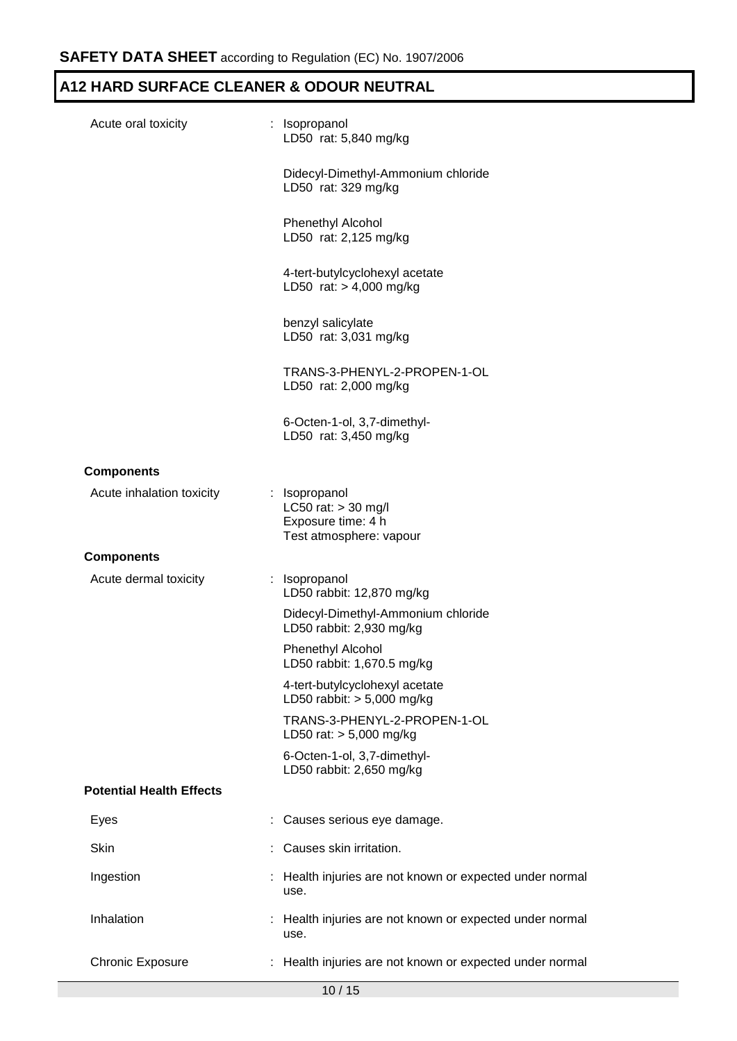| Acute oral toxicity             | : Isopropanol<br>LD50 rat: 5,840 mg/kg                                                  |
|---------------------------------|-----------------------------------------------------------------------------------------|
|                                 | Didecyl-Dimethyl-Ammonium chloride<br>LD50 rat: 329 mg/kg                               |
|                                 | <b>Phenethyl Alcohol</b><br>LD50 rat: 2,125 mg/kg                                       |
|                                 | 4-tert-butylcyclohexyl acetate<br>LD50 rat: $> 4,000$ mg/kg                             |
|                                 | benzyl salicylate<br>LD50 rat: 3,031 mg/kg                                              |
|                                 | TRANS-3-PHENYL-2-PROPEN-1-OL<br>LD50 rat: 2,000 mg/kg                                   |
|                                 | 6-Octen-1-ol, 3,7-dimethyl-<br>LD50 rat: 3,450 mg/kg                                    |
| <b>Components</b>               |                                                                                         |
| Acute inhalation toxicity       | : Isopropanol<br>LC50 rat: $>$ 30 mg/l<br>Exposure time: 4 h<br>Test atmosphere: vapour |
| <b>Components</b>               |                                                                                         |
| Acute dermal toxicity           | : Isopropanol<br>LD50 rabbit: 12,870 mg/kg                                              |
|                                 | Didecyl-Dimethyl-Ammonium chloride<br>LD50 rabbit: 2,930 mg/kg                          |
|                                 | Phenethyl Alcohol<br>LD50 rabbit: 1,670.5 mg/kg                                         |
|                                 | 4-tert-butylcyclohexyl acetate<br>LD50 rabbit: $> 5,000$ mg/kg                          |
|                                 | TRANS-3-PHENYL-2-PROPEN-1-OL<br>LD50 rat: $> 5,000$ mg/kg                               |
|                                 | 6-Octen-1-ol, 3,7-dimethyl-<br>LD50 rabbit: 2,650 mg/kg                                 |
| <b>Potential Health Effects</b> |                                                                                         |
| Eyes                            | Causes serious eye damage.                                                              |
| Skin                            | Causes skin irritation.                                                                 |
| Ingestion                       | : Health injuries are not known or expected under normal<br>use.                        |
| Inhalation                      | : Health injuries are not known or expected under normal<br>use.                        |
| <b>Chronic Exposure</b>         | : Health injuries are not known or expected under normal                                |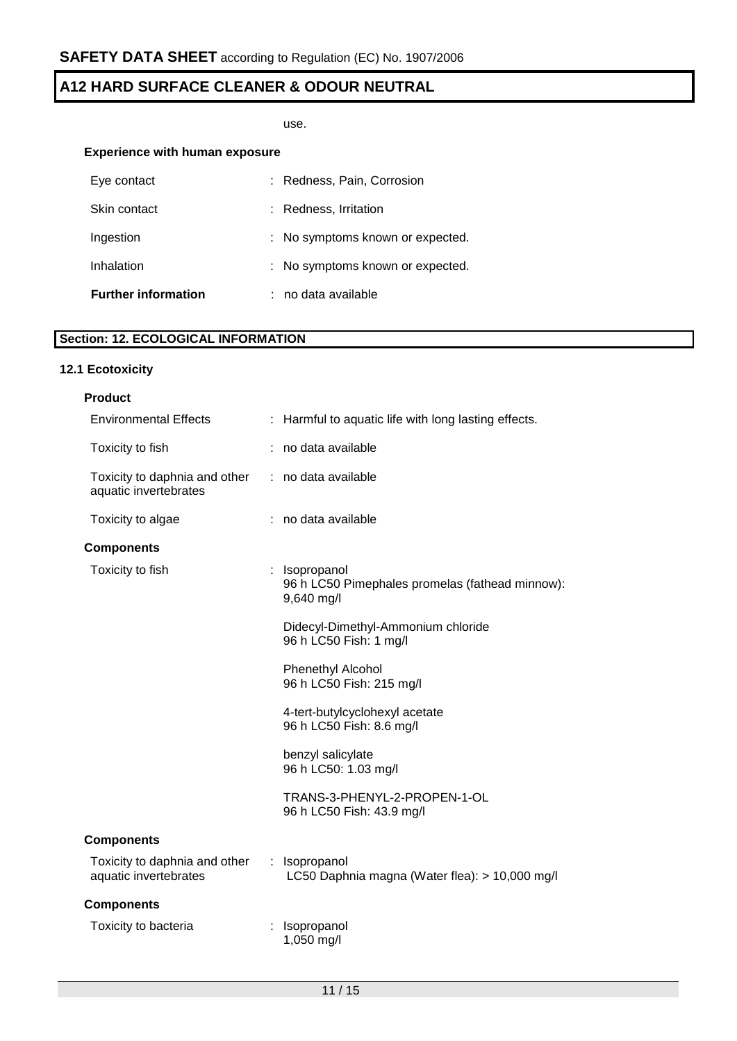use.

## **Experience with human exposure**

| Eye contact                | : Redness, Pain, Corrosion       |
|----------------------------|----------------------------------|
| Skin contact               | : Redness, Irritation            |
| Ingestion                  | : No symptoms known or expected. |
| Inhalation                 | : No symptoms known or expected. |
| <b>Further information</b> | : no data available              |

# **Section: 12. ECOLOGICAL INFORMATION**

## **12.1 Ecotoxicity**

| <b>Product</b>                                         |                                                                                |
|--------------------------------------------------------|--------------------------------------------------------------------------------|
| <b>Environmental Effects</b>                           | : Harmful to aquatic life with long lasting effects.                           |
| Toxicity to fish                                       | : no data available                                                            |
| Toxicity to daphnia and other<br>aquatic invertebrates | : no data available                                                            |
| Toxicity to algae                                      | : no data available                                                            |
| <b>Components</b>                                      |                                                                                |
| Toxicity to fish                                       | : Isopropanol<br>96 h LC50 Pimephales promelas (fathead minnow):<br>9,640 mg/l |
|                                                        | Didecyl-Dimethyl-Ammonium chloride<br>96 h LC50 Fish: 1 mg/l                   |
|                                                        | Phenethyl Alcohol<br>96 h LC50 Fish: 215 mg/l                                  |
|                                                        | 4-tert-butylcyclohexyl acetate<br>96 h LC50 Fish: 8.6 mg/l                     |
|                                                        | benzyl salicylate<br>96 h LC50: 1.03 mg/l                                      |
|                                                        | TRANS-3-PHENYL-2-PROPEN-1-OL<br>96 h LC50 Fish: 43.9 mg/l                      |
| <b>Components</b>                                      |                                                                                |
| Toxicity to daphnia and other<br>aquatic invertebrates | : Isopropanol<br>LC50 Daphnia magna (Water flea): > 10,000 mg/l                |
| <b>Components</b>                                      |                                                                                |
| Toxicity to bacteria                                   | : Isopropanol<br>1,050 mg/l                                                    |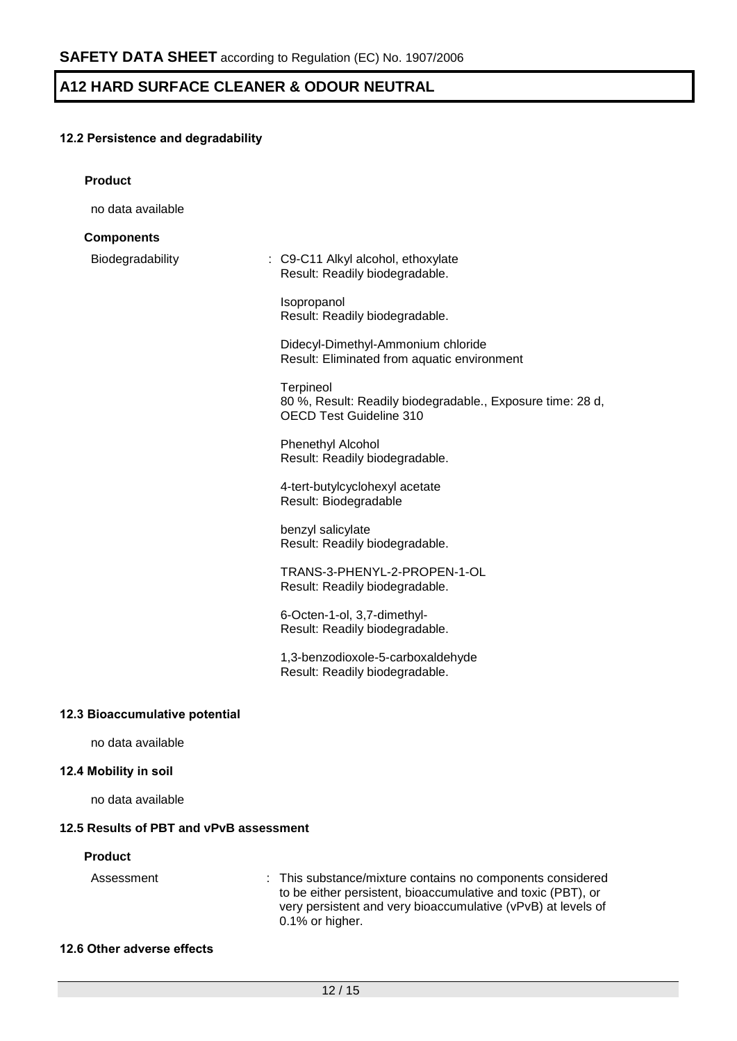# **12.2 Persistence and degradability**

| <b>Product</b>                          |                                                                                                                                                                                                               |
|-----------------------------------------|---------------------------------------------------------------------------------------------------------------------------------------------------------------------------------------------------------------|
| no data available                       |                                                                                                                                                                                                               |
| <b>Components</b>                       |                                                                                                                                                                                                               |
| Biodegradability                        | : C9-C11 Alkyl alcohol, ethoxylate<br>Result: Readily biodegradable.                                                                                                                                          |
|                                         | Isopropanol<br>Result: Readily biodegradable.                                                                                                                                                                 |
|                                         | Didecyl-Dimethyl-Ammonium chloride<br>Result: Eliminated from aquatic environment                                                                                                                             |
|                                         | Terpineol<br>80 %, Result: Readily biodegradable., Exposure time: 28 d,<br>OECD Test Guideline 310                                                                                                            |
|                                         | Phenethyl Alcohol<br>Result: Readily biodegradable.                                                                                                                                                           |
|                                         | 4-tert-butylcyclohexyl acetate<br>Result: Biodegradable                                                                                                                                                       |
|                                         | benzyl salicylate<br>Result: Readily biodegradable.                                                                                                                                                           |
|                                         | TRANS-3-PHENYL-2-PROPEN-1-OL<br>Result: Readily biodegradable.                                                                                                                                                |
|                                         | 6-Octen-1-ol, 3,7-dimethyl-<br>Result: Readily biodegradable.                                                                                                                                                 |
|                                         | 1,3-benzodioxole-5-carboxaldehyde<br>Result: Readily biodegradable.                                                                                                                                           |
| 12.3 Bioaccumulative potential          |                                                                                                                                                                                                               |
| no data available                       |                                                                                                                                                                                                               |
| 12.4 Mobility in soil                   |                                                                                                                                                                                                               |
| no data available                       |                                                                                                                                                                                                               |
| 12.5 Results of PBT and vPvB assessment |                                                                                                                                                                                                               |
| <b>Product</b>                          |                                                                                                                                                                                                               |
| Assessment                              | : This substance/mixture contains no components considered<br>to be either persistent, bioaccumulative and toxic (PBT), or<br>very persistent and very bioaccumulative (vPvB) at levels of<br>0.1% or higher. |

### **12.6 Other adverse effects**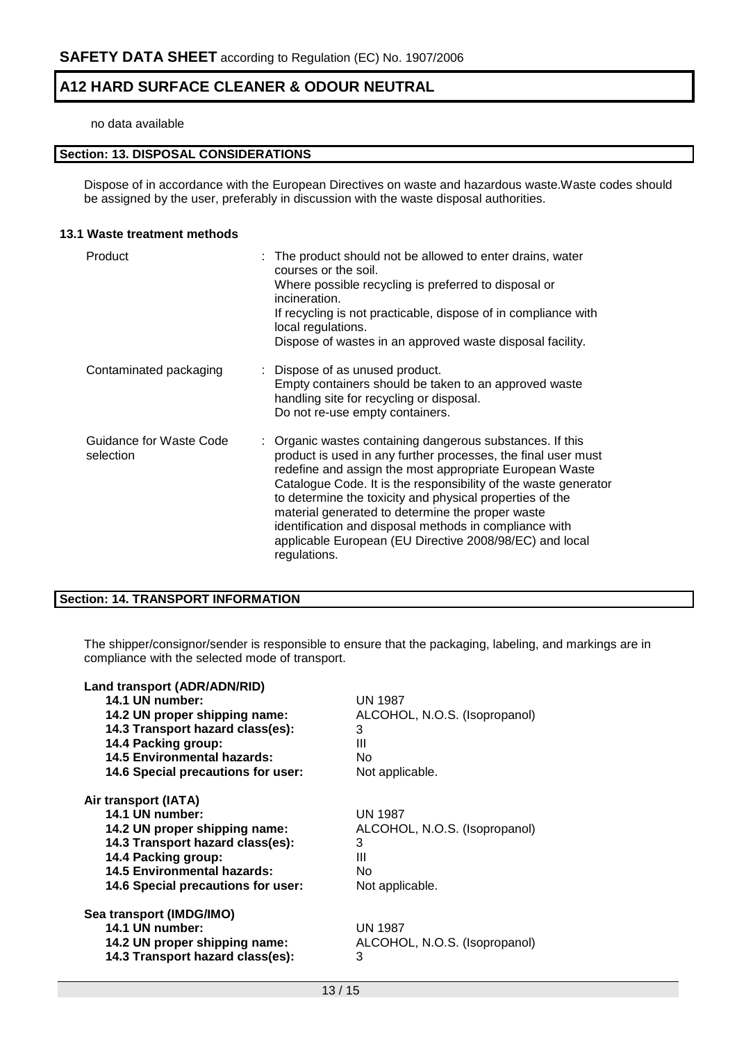#### no data available

## **Section: 13. DISPOSAL CONSIDERATIONS**

Dispose of in accordance with the European Directives on waste and hazardous waste.Waste codes should be assigned by the user, preferably in discussion with the waste disposal authorities.

#### **13.1 Waste treatment methods**

| Product                              | : The product should not be allowed to enter drains, water<br>courses or the soil.<br>Where possible recycling is preferred to disposal or<br>incineration.<br>If recycling is not practicable, dispose of in compliance with<br>local regulations.<br>Dispose of wastes in an approved waste disposal facility.                                                                                                                                                                                              |
|--------------------------------------|---------------------------------------------------------------------------------------------------------------------------------------------------------------------------------------------------------------------------------------------------------------------------------------------------------------------------------------------------------------------------------------------------------------------------------------------------------------------------------------------------------------|
| Contaminated packaging               | : Dispose of as unused product.<br>Empty containers should be taken to an approved waste<br>handling site for recycling or disposal.<br>Do not re-use empty containers.                                                                                                                                                                                                                                                                                                                                       |
| Guidance for Waste Code<br>selection | : Organic wastes containing dangerous substances. If this<br>product is used in any further processes, the final user must<br>redefine and assign the most appropriate European Waste<br>Catalogue Code. It is the responsibility of the waste generator<br>to determine the toxicity and physical properties of the<br>material generated to determine the proper waste<br>identification and disposal methods in compliance with<br>applicable European (EU Directive 2008/98/EC) and local<br>regulations. |

### **Section: 14. TRANSPORT INFORMATION**

The shipper/consignor/sender is responsible to ensure that the packaging, labeling, and markings are in compliance with the selected mode of transport.

| Land transport (ADR/ADN/RID)       |                               |
|------------------------------------|-------------------------------|
| 14.1 UN number:                    | <b>UN 1987</b>                |
| 14.2 UN proper shipping name:      | ALCOHOL, N.O.S. (Isopropanol) |
| 14.3 Transport hazard class(es):   | 3                             |
| 14.4 Packing group:                | Ш                             |
| <b>14.5 Environmental hazards:</b> | No                            |
| 14.6 Special precautions for user: | Not applicable.               |
| Air transport (IATA)               |                               |
| 14.1 UN number:                    | UN 1987                       |
| 14.2 UN proper shipping name:      | ALCOHOL, N.O.S. (Isopropanol) |
| 14.3 Transport hazard class(es):   | 3                             |
| 14.4 Packing group:                | Ш                             |
| <b>14.5 Environmental hazards:</b> | No.                           |
| 14.6 Special precautions for user: | Not applicable.               |
| Sea transport (IMDG/IMO)           |                               |
| 14.1 UN number:                    | <b>UN 1987</b>                |
| 14.2 UN proper shipping name:      | ALCOHOL, N.O.S. (Isopropanol) |
| 14.3 Transport hazard class(es):   | 3                             |
|                                    |                               |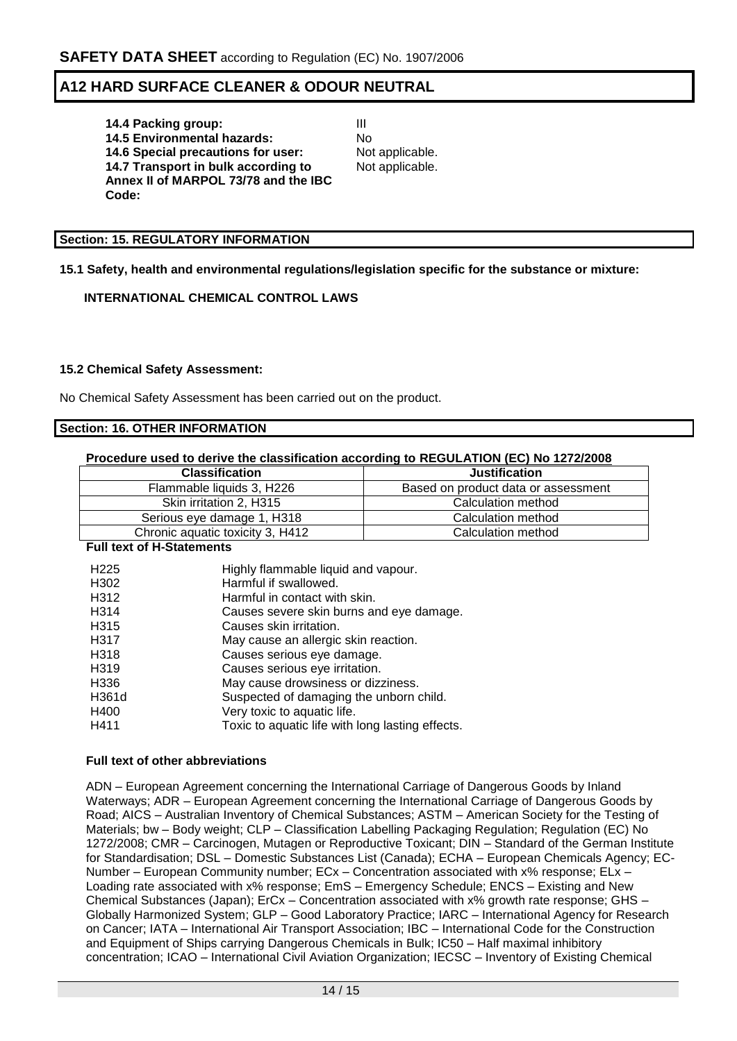**14.4 Packing group:** III **14.5 Environmental hazards:** No **14.6 Special precautions for user:** Not applicable. **14.7 Transport in bulk according to Annex II of MARPOL 73/78 and the IBC Code:**

Not applicable.

### **Section: 15. REGULATORY INFORMATION**

**15.1 Safety, health and environmental regulations/legislation specific for the substance or mixture:**

## **INTERNATIONAL CHEMICAL CONTROL LAWS**

### **15.2 Chemical Safety Assessment:**

No Chemical Safety Assessment has been carried out on the product.

## **Section: 16. OTHER INFORMATION**

#### **Procedure used to derive the classification according to REGULATION (EC) No 1272/2008**

| <b>Classification</b>            | <b>Justification</b>                |
|----------------------------------|-------------------------------------|
| Flammable liquids 3, H226        | Based on product data or assessment |
| Skin irritation 2, H315          | Calculation method                  |
| Serious eye damage 1, H318       | Calculation method                  |
| Chronic aquatic toxicity 3, H412 | Calculation method                  |

#### **Full text of H-Statements**

| H <sub>225</sub>  | Highly flammable liquid and vapour.              |
|-------------------|--------------------------------------------------|
| H302              | Harmful if swallowed.                            |
| H312              | Harmful in contact with skin.                    |
| H <sub>3</sub> 14 | Causes severe skin burns and eye damage.         |
| H <sub>3</sub> 15 | Causes skin irritation.                          |
| H317              | May cause an allergic skin reaction.             |
| H318              | Causes serious eye damage.                       |
| H319              | Causes serious eye irritation.                   |
| H336              | May cause drowsiness or dizziness.               |
| H361d             | Suspected of damaging the unborn child.          |
| H400              | Very toxic to aquatic life.                      |
| H411              | Toxic to aquatic life with long lasting effects. |

#### **Full text of other abbreviations**

ADN – European Agreement concerning the International Carriage of Dangerous Goods by Inland Waterways; ADR – European Agreement concerning the International Carriage of Dangerous Goods by Road; AICS – Australian Inventory of Chemical Substances; ASTM – American Society for the Testing of Materials; bw – Body weight; CLP – Classification Labelling Packaging Regulation; Regulation (EC) No 1272/2008; CMR – Carcinogen, Mutagen or Reproductive Toxicant; DIN – Standard of the German Institute for Standardisation; DSL – Domestic Substances List (Canada); ECHA – European Chemicals Agency; EC-Number – European Community number; ECx – Concentration associated with x% response; ELx – Loading rate associated with x% response; EmS – Emergency Schedule; ENCS – Existing and New Chemical Substances (Japan); ErCx – Concentration associated with x% growth rate response; GHS – Globally Harmonized System; GLP – Good Laboratory Practice; IARC – International Agency for Research on Cancer; IATA – International Air Transport Association; IBC – International Code for the Construction and Equipment of Ships carrying Dangerous Chemicals in Bulk; IC50 – Half maximal inhibitory concentration; ICAO – International Civil Aviation Organization; IECSC – Inventory of Existing Chemical